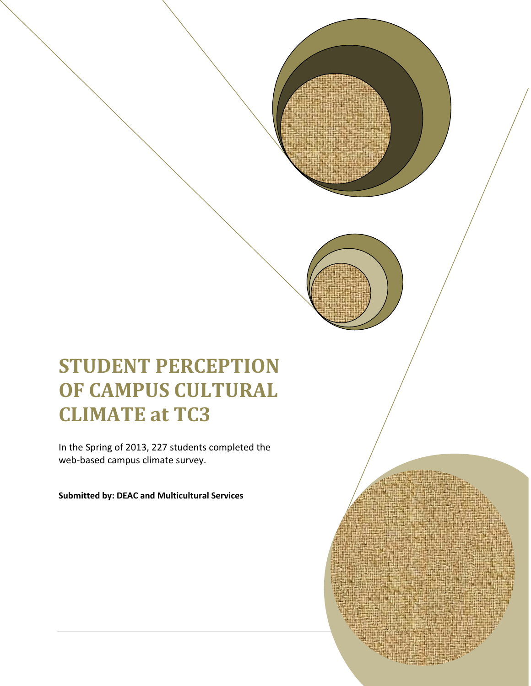# **STUDENT PERCEPTION OF CAMPUS CULTURAL CLIMATE at TC3**

In the Spring of 2013, 227 students completed the web-based campus climate survey.

0 | P a g e

**Submitted by: DEAC and Multicultural Services**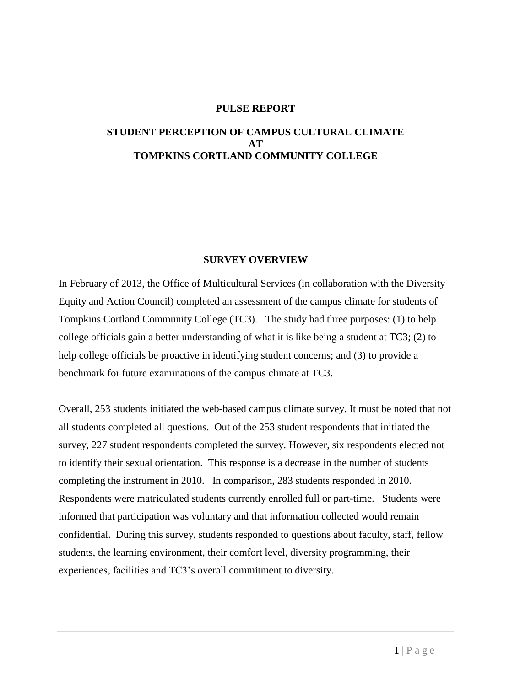#### **PULSE REPORT**

#### **STUDENT PERCEPTION OF CAMPUS CULTURAL CLIMATE AT TOMPKINS CORTLAND COMMUNITY COLLEGE**

#### **SURVEY OVERVIEW**

In February of 2013, the Office of Multicultural Services (in collaboration with the Diversity Equity and Action Council) completed an assessment of the campus climate for students of Tompkins Cortland Community College (TC3). The study had three purposes: (1) to help college officials gain a better understanding of what it is like being a student at TC3; (2) to help college officials be proactive in identifying student concerns; and (3) to provide a benchmark for future examinations of the campus climate at TC3.

Overall, 253 students initiated the web-based campus climate survey. It must be noted that not all students completed all questions. Out of the 253 student respondents that initiated the survey, 227 student respondents completed the survey. However, six respondents elected not to identify their sexual orientation. This response is a decrease in the number of students completing the instrument in 2010. In comparison, 283 students responded in 2010. Respondents were matriculated students currently enrolled full or part-time. Students were informed that participation was voluntary and that information collected would remain confidential. During this survey, students responded to questions about faculty, staff, fellow students, the learning environment, their comfort level, diversity programming, their experiences, facilities and TC3's overall commitment to diversity.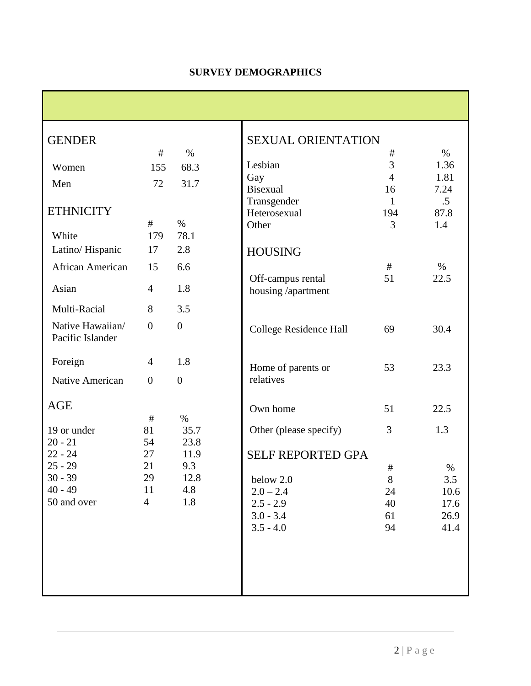| <b>GENDER</b>                        |                |                | <b>SE</b>  |
|--------------------------------------|----------------|----------------|------------|
|                                      | #              | $\%$           |            |
| Women                                | 155            | 68.3           | Les        |
| Men                                  | 72             | 31.7           | Ga         |
|                                      |                |                | <b>Bis</b> |
| <b>ETHNICITY</b>                     |                |                | Tra<br>Het |
|                                      | #              | $\%$           | Oth        |
| White                                |                | 179 78.1       |            |
| Latino/Hispanic                      | 17 2.8         |                | H          |
| African American                     | 15             | 6.6            |            |
|                                      |                |                | Of         |
| Asian                                | $\overline{4}$ | 1.8            | ho         |
| Multi-Racial                         | 8              | 3.5            |            |
| Native Hawaiian/<br>Pacific Islander | $\overline{0}$ | $\overline{0}$ | Co         |
| Foreign                              | $\overline{4}$ | 1.8            | Hc         |
| Native American                      | $\overline{0}$ | $\overline{0}$ | rel        |
| <b>AGE</b>                           |                |                | Ov         |
|                                      | #              | $\%$           |            |
| 19 or under                          | 81             | 35.7           | Oť         |
| $20 - 21$                            | 54             | 23.8           |            |
| $22 - 24$                            | 27             | 11.9           | <b>SE</b>  |
| $25 - 29$<br>$30 - 39$               | 21<br>29       | 9.3<br>12.8    |            |
| $40 - 49$                            | 11             | 4.8            | be<br>2.0  |
| 50 and over                          | $\overline{4}$ | 1.8            | 2.3        |
|                                      |                |                | 3.0        |
|                                      |                |                | 3.3        |
|                                      |                |                |            |
|                                      |                |                |            |
|                                      |                |                |            |
|                                      |                |                |            |
|                                      |                |                |            |

| <b>SEXUAL ORIENTATION</b>       |                |              |
|---------------------------------|----------------|--------------|
| Lesbian                         | #<br>3         | $\%$<br>1.36 |
| Gay                             | $\overline{4}$ | 1.81         |
| <b>Bisexual</b>                 | 16             | 7.24         |
| Transgender                     | $\mathbf{1}$   | .5           |
| Heterosexual                    | 194            | 87.8         |
| Other                           | 3              | 1.4          |
|                                 |                |              |
| <b>HOUSING</b>                  |                |              |
|                                 | #              | $\%$         |
| Off-campus rental               | 51             | 22.5         |
| housing /apartment              |                |              |
|                                 |                |              |
|                                 |                |              |
| <b>College Residence Hall</b>   | 69             | 30.4         |
|                                 |                |              |
|                                 |                |              |
| Home of parents or<br>relatives | 53             | 23.3         |
|                                 |                |              |
| Own home                        | 51             | 22.5         |
|                                 |                |              |
| Other (please specify)          | 3              | 1.3          |
| <b>SELF REPORTED GPA</b>        |                |              |
|                                 | #              | $\%$         |
| below 2.0                       | 8              | 3.5          |
| $2.0 - 2.4$                     | 24             | 10.6         |
| $2.5 - 2.9$                     | 40             | 17.6         |
| $3.0 - 3.4$                     | 61             | 26.9         |
| $3.5 - 4.0$                     | 94             | 41.4         |
|                                 |                |              |
|                                 |                |              |
|                                 |                |              |
|                                 |                |              |
|                                 |                |              |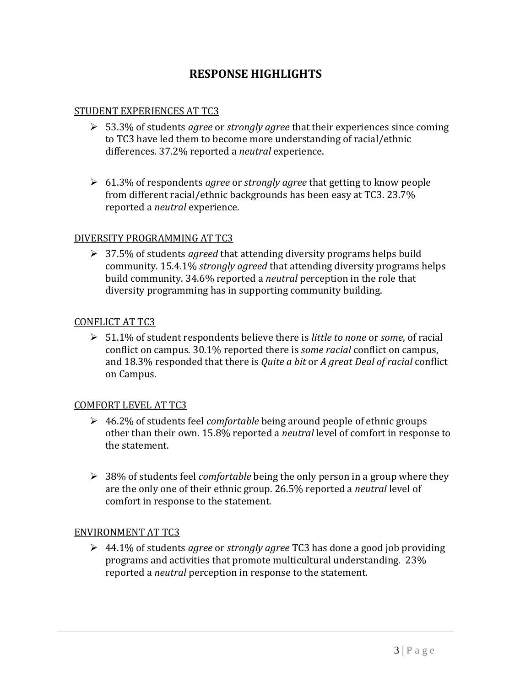### **RESPONSE HIGHLIGHTS**

#### STUDENT EXPERIENCES AT TC3

- 53.3% of students *agree* or *strongly agree* that their experiences since coming to TC3 have led them to become more understanding of racial/ethnic differences. 37.2% reported a *neutral* experience.
- 61.3% of respondents *agree* or *strongly agree* that getting to know people from different racial/ethnic backgrounds has been easy at TC3. 23.7% reported a *neutral* experience.

#### DIVERSITY PROGRAMMING AT TC3

 37.5% of students *agreed* that attending diversity programs helps build community. 15.4.1% *strongly agreed* that attending diversity programs helps build community. 34.6% reported a *neutral* perception in the role that diversity programming has in supporting community building.

#### CONFLICT AT TC3

 51.1% of student respondents believe there is *little to none* or *some*, of racial conflict on campus. 30.1% reported there is *some racial* conflict on campus, and 18.3% responded that there is *Quite a bit* or *A great Deal of racial* conflict on Campus.

#### COMFORT LEVEL AT TC3

- 46.2% of students feel *comfortable* being around people of ethnic groups other than their own. 15.8% reported a *neutral* level of comfort in response to the statement.
- 38% of students feel *comfortable* being the only person in a group where they are the only one of their ethnic group. 26.5% reported a *neutral* level of comfort in response to the statement.

#### ENVIRONMENT AT TC3

 44.1% of students *agree* or *strongly agree* TC3 has done a good job providing programs and activities that promote multicultural understanding. 23% reported a *neutral* perception in response to the statement.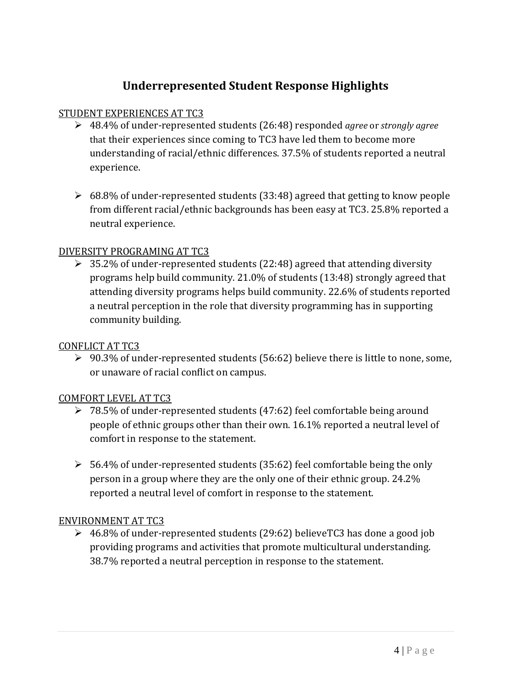### **Underrepresented Student Response Highlights**

#### STUDENT EXPERIENCES AT TC3

- 48.4% of under-represented students (26:48) responded *agree* or *strongly agree* that their experiences since coming to TC3 have led them to become more understanding of racial/ethnic differences. 37.5% of students reported a neutral experience.
- $\geq 68.8\%$  of under-represented students (33:48) agreed that getting to know people from different racial/ethnic backgrounds has been easy at TC3. 25.8% reported a neutral experience.

#### DIVERSITY PROGRAMING AT TC3

 $\geq 35.2\%$  of under-represented students (22:48) agreed that attending diversity programs help build community. 21.0% of students (13:48) strongly agreed that attending diversity programs helps build community. 22.6% of students reported a neutral perception in the role that diversity programming has in supporting community building.

#### CONFLICT AT TC3

 $\geq 90.3\%$  of under-represented students (56:62) believe there is little to none, some, or unaware of racial conflict on campus.

#### COMFORT LEVEL AT TC3

- $\geq 78.5\%$  of under-represented students (47:62) feel comfortable being around people of ethnic groups other than their own. 16.1% reported a neutral level of comfort in response to the statement.
- $\geq 56.4\%$  of under-represented students (35:62) feel comfortable being the only person in a group where they are the only one of their ethnic group. 24.2% reported a neutral level of comfort in response to the statement.

#### ENVIRONMENT AT TC3

 $\geq 46.8\%$  of under-represented students (29:62) believeTC3 has done a good job providing programs and activities that promote multicultural understanding. 38.7% reported a neutral perception in response to the statement.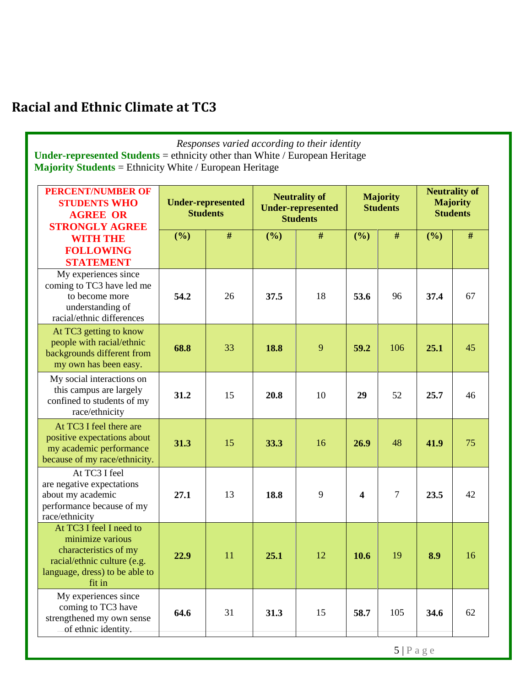# **Racial and Ethnic Climate at TC3**

| Responses varied according to their identity<br><b>Under-represented Students</b> = ethnicity other than White / European Heritage<br><b>Majority Students</b> = Ethnicity White / European Heritage |                                             |    |                                                                     |      |                                    |     |                                                            |      |
|------------------------------------------------------------------------------------------------------------------------------------------------------------------------------------------------------|---------------------------------------------|----|---------------------------------------------------------------------|------|------------------------------------|-----|------------------------------------------------------------|------|
| <b>PERCENT/NUMBER OF</b><br><b>STUDENTS WHO</b><br><b>AGREE OR</b>                                                                                                                                   | <b>Under-represented</b><br><b>Students</b> |    | <b>Neutrality of</b><br><b>Under-represented</b><br><b>Students</b> |      | <b>Majority</b><br><b>Students</b> |     | <b>Neutrality of</b><br><b>Majority</b><br><b>Students</b> |      |
| <b>STRONGLY AGREE</b><br><b>WITH THE</b><br><b>FOLLOWING</b><br><b>STATEMENT</b>                                                                                                                     | (%)                                         | #  | (%)                                                                 | $\#$ | (%)                                | #   | (%)                                                        | $\#$ |
| My experiences since<br>coming to TC3 have led me<br>to become more<br>understanding of<br>racial/ethnic differences                                                                                 | 54.2                                        | 26 | 37.5                                                                | 18   | 53.6                               | 96  | 37.4                                                       | 67   |
| At TC3 getting to know<br>people with racial/ethnic<br>backgrounds different from<br>my own has been easy.                                                                                           | 68.8                                        | 33 | 18.8                                                                | 9    | 59.2                               | 106 | 25.1                                                       | 45   |
| My social interactions on<br>this campus are largely<br>confined to students of my<br>race/ethnicity                                                                                                 | 31.2                                        | 15 | 20.8                                                                | 10   | 29                                 | 52  | 25.7                                                       | 46   |
| At TC3 I feel there are<br>positive expectations about<br>my academic performance<br>because of my race/ethnicity.                                                                                   | 31.3                                        | 15 | 33.3                                                                | 16   | 26.9                               | 48  | 41.9                                                       | 75   |
| At TC3 I feel<br>are negative expectations<br>about my academic<br>performance because of my<br>race/ethnicity                                                                                       | 27.1                                        | 13 | 18.8                                                                | 9    | 4                                  | 7   | 23.5                                                       | 42   |
| At TC3 I feel I need to<br>minimize various<br>characteristics of my<br>racial/ethnic culture (e.g.<br>language, dress) to be able to<br>fit in                                                      | 22.9                                        | 11 | 25.1                                                                | 12   | 10.6                               | 19  | 8.9                                                        | 16   |
| My experiences since<br>coming to TC3 have<br>strengthened my own sense<br>of ethnic identity.                                                                                                       | 64.6                                        | 31 | 31.3                                                                | 15   | 58.7                               | 105 | 34.6                                                       | 62   |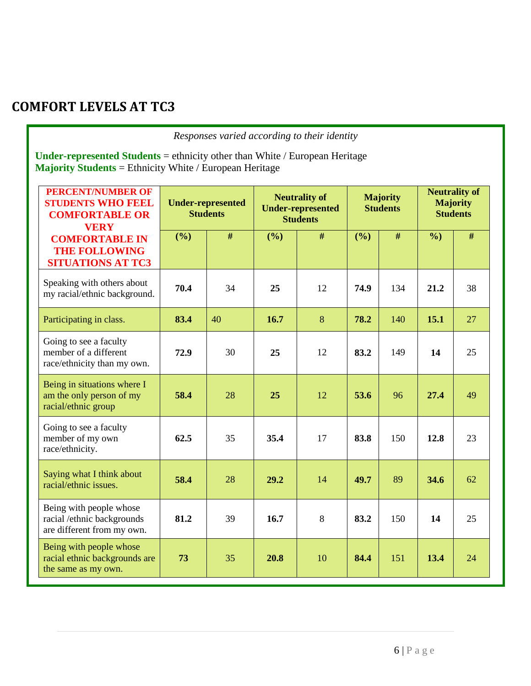# **COMFORT LEVELS AT TC3**

*Responses varied according to their identity*

**Under-represented Students** = ethnicity other than White / European Heritage **Majority Students** = Ethnicity White / European Heritage

| <b>PERCENT/NUMBER OF</b><br><b>STUDENTS WHO FEEL</b><br><b>COMFORTABLE OR</b><br><b>VERY</b> | <b>Under-represented</b><br><b>Students</b> |    | <b>Neutrality of</b><br><b>Under-represented</b><br><b>Students</b> |    | <b>Majority</b><br><b>Students</b> |      | <b>Neutrality of</b><br><b>Majority</b><br><b>Students</b> |      |
|----------------------------------------------------------------------------------------------|---------------------------------------------|----|---------------------------------------------------------------------|----|------------------------------------|------|------------------------------------------------------------|------|
| <b>COMFORTABLE IN</b><br><b>THE FOLLOWING</b><br><b>SITUATIONS AT TC3</b>                    | (%)                                         | #  | (%)                                                                 | #  | (%)                                | $\#$ | $\%$                                                       | $\#$ |
| Speaking with others about<br>my racial/ethnic background.                                   | 70.4                                        | 34 | 25                                                                  | 12 | 74.9                               | 134  | 21.2                                                       | 38   |
| Participating in class.                                                                      | 83.4                                        | 40 | 16.7                                                                | 8  | 78.2                               | 140  | 15.1                                                       | 27   |
| Going to see a faculty<br>member of a different<br>race/ethnicity than my own.               | 72.9                                        | 30 | 25                                                                  | 12 | 83.2                               | 149  | 14                                                         | 25   |
| Being in situations where I<br>am the only person of my<br>racial/ethnic group               | 58.4                                        | 28 | 25                                                                  | 12 | 53.6                               | 96   | 27.4                                                       | 49   |
| Going to see a faculty<br>member of my own<br>race/ethnicity.                                | 62.5                                        | 35 | 35.4                                                                | 17 | 83.8                               | 150  | 12.8                                                       | 23   |
| Saying what I think about<br>racial/ethnic issues.                                           | 58.4                                        | 28 | 29.2                                                                | 14 | 49.7                               | 89   | 34.6                                                       | 62   |
| Being with people whose<br>racial /ethnic backgrounds<br>are different from my own.          | 81.2                                        | 39 | 16.7                                                                | 8  | 83.2                               | 150  | 14                                                         | 25   |
| Being with people whose<br>racial ethnic backgrounds are<br>the same as my own.              | 73                                          | 35 | 20.8                                                                | 10 | 84.4                               | 151  | 13.4                                                       | 24   |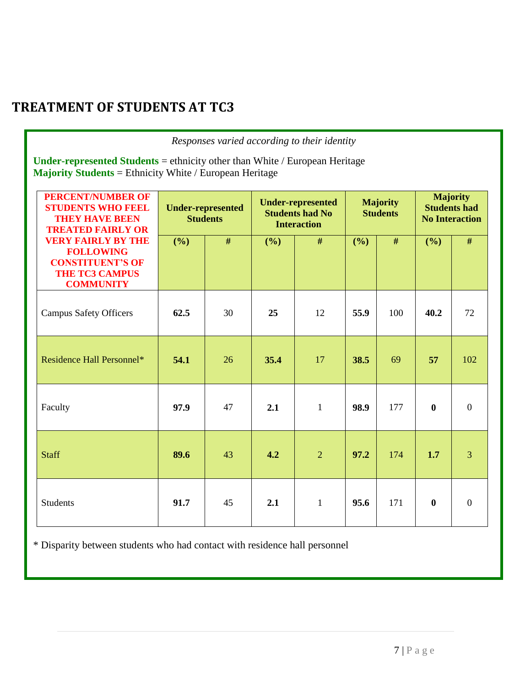# **TREATMENT OF STUDENTS AT TC3**

| Responses varied according to their identity                                                                                                  |                                             |    |                                                                          |                |                                    |      |                                                                 |                |
|-----------------------------------------------------------------------------------------------------------------------------------------------|---------------------------------------------|----|--------------------------------------------------------------------------|----------------|------------------------------------|------|-----------------------------------------------------------------|----------------|
| Under-represented Students = ethnicity other than White / European Heritage<br><b>Majority Students</b> = Ethnicity White / European Heritage |                                             |    |                                                                          |                |                                    |      |                                                                 |                |
| <b>PERCENT/NUMBER OF</b><br><b>STUDENTS WHO FEEL</b><br><b>THEY HAVE BEEN</b><br><b>TREATED FAIRLY OR</b>                                     | <b>Under-represented</b><br><b>Students</b> |    | <b>Under-represented</b><br><b>Students had No</b><br><b>Interaction</b> |                | <b>Majority</b><br><b>Students</b> |      | <b>Majority</b><br><b>Students had</b><br><b>No Interaction</b> |                |
| <b>VERY FAIRLY BY THE</b><br><b>FOLLOWING</b><br><b>CONSTITUENT'S OF</b><br><b>THE TC3 CAMPUS</b><br><b>COMMUNITY</b>                         | (%)                                         | #  | (%)                                                                      | #              | (%)                                | $\#$ | (%)                                                             | #              |
| <b>Campus Safety Officers</b>                                                                                                                 | 62.5                                        | 30 | 25                                                                       | 12             | 55.9                               | 100  | 40.2                                                            | 72             |
| Residence Hall Personnel*                                                                                                                     | 54.1                                        | 26 | 35.4                                                                     | 17             | 38.5                               | 69   | 57                                                              | 102            |
| Faculty                                                                                                                                       | 97.9                                        | 47 | 2.1                                                                      | $\mathbf{1}$   | 98.9                               | 177  | $\bf{0}$                                                        | $\overline{0}$ |
| <b>Staff</b>                                                                                                                                  | 89.6                                        | 43 | 4.2                                                                      | $\overline{2}$ | 97.2                               | 174  | 1.7                                                             | 3              |
| <b>Students</b>                                                                                                                               | 91.7                                        | 45 | 2.1                                                                      | $\mathbf{1}$   | 95.6                               | 171  | $\bf{0}$                                                        | $\overline{0}$ |

\* Disparity between students who had contact with residence hall personnel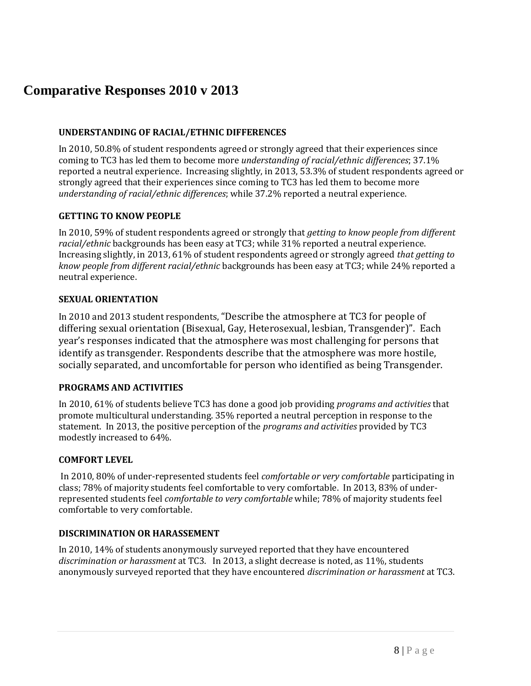## **Comparative Responses 2010 v 2013**

#### **UNDERSTANDING OF RACIAL/ETHNIC DIFFERENCES**

In 2010, 50.8% of student respondents agreed or strongly agreed that their experiences since coming to TC3 has led them to become more *understanding of racial/ethnic differences*; 37.1% reported a neutral experience. Increasing slightly, in 2013, 53.3% of student respondents agreed or strongly agreed that their experiences since coming to TC3 has led them to become more *understanding of racial/ethnic differences*; while 37.2% reported a neutral experience.

#### **GETTING TO KNOW PEOPLE**

In 2010, 59% of student respondents agreed or strongly that *getting to know people from different racial/ethnic* backgrounds has been easy at TC3; while 31% reported a neutral experience. Increasing slightly, in 2013, 61% of student respondents agreed or strongly agreed *that getting to know people from different racial/ethnic* backgrounds has been easy at TC3; while 24% reported a neutral experience.

#### **SEXUAL ORIENTATION**

In 2010 and 2013 student respondents, "Describe the atmosphere at TC3 for people of differing sexual orientation (Bisexual, Gay, Heterosexual, lesbian, Transgender)". Each year's responses indicated that the atmosphere was most challenging for persons that identify as transgender. Respondents describe that the atmosphere was more hostile, socially separated, and uncomfortable for person who identified as being Transgender.

#### **PROGRAMS AND ACTIVITIES**

In 2010, 61% of students believe TC3 has done a good job providing *programs and activities* that promote multicultural understanding. 35% reported a neutral perception in response to the statement. In 2013, the positive perception of the *programs and activities* provided by TC3 modestly increased to 64%.

#### **COMFORT LEVEL**

In 2010, 80% of under-represented students feel *comfortable or very comfortable* participating in class; 78% of majority students feel comfortable to very comfortable. In 2013, 83% of underrepresented students feel *comfortable to very comfortable* while; 78% of majority students feel comfortable to very comfortable.

#### **DISCRIMINATION OR HARASSEMENT**

In 2010, 14% of students anonymously surveyed reported that they have encountered *discrimination or harassment* at TC3. In 2013, a slight decrease is noted, as 11%, students anonymously surveyed reported that they have encountered *discrimination or harassment* at TC3.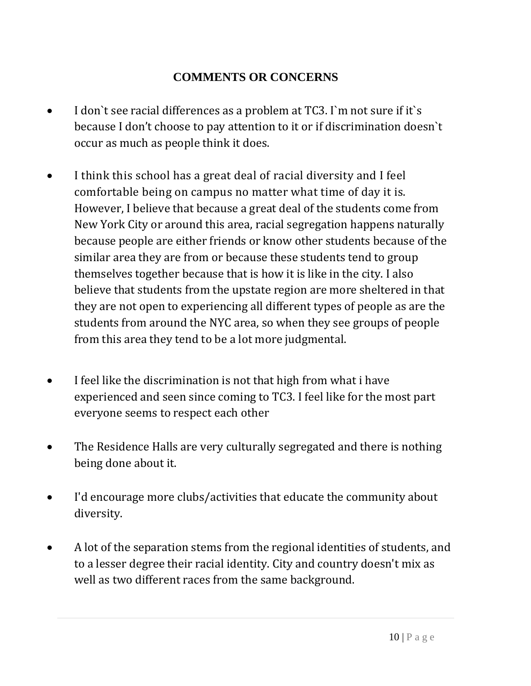### **COMMENTS OR CONCERNS**

- I don`t see racial differences as a problem at TC3. I`m not sure if it`s because I don't choose to pay attention to it or if discrimination doesn`t occur as much as people think it does.
- I think this school has a great deal of racial diversity and I feel comfortable being on campus no matter what time of day it is. However, I believe that because a great deal of the students come from New York City or around this area, racial segregation happens naturally because people are either friends or know other students because of the similar area they are from or because these students tend to group themselves together because that is how it is like in the city. I also believe that students from the upstate region are more sheltered in that they are not open to experiencing all different types of people as are the students from around the NYC area, so when they see groups of people from this area they tend to be a lot more judgmental.
- I feel like the discrimination is not that high from what i have experienced and seen since coming to TC3. I feel like for the most part everyone seems to respect each other
- The Residence Halls are very culturally segregated and there is nothing being done about it.
- I'd encourage more clubs/activities that educate the community about diversity.
- A lot of the separation stems from the regional identities of students, and to a lesser degree their racial identity. City and country doesn't mix as well as two different races from the same background.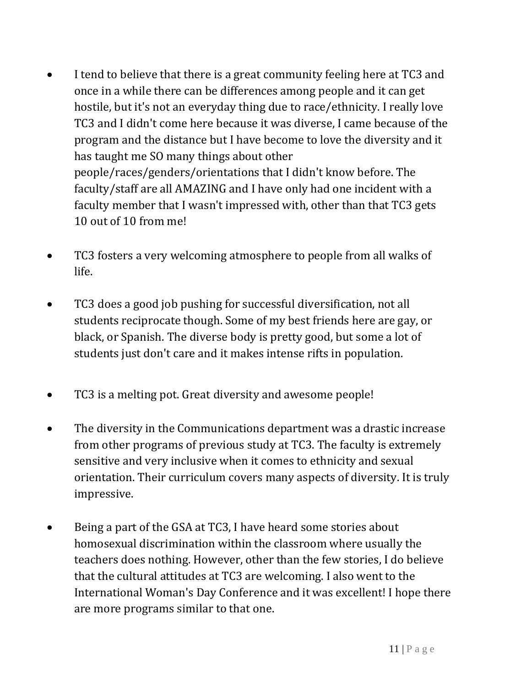- I tend to believe that there is a great community feeling here at TC3 and once in a while there can be differences among people and it can get hostile, but it's not an everyday thing due to race/ethnicity. I really love TC3 and I didn't come here because it was diverse, I came because of the program and the distance but I have become to love the diversity and it has taught me SO many things about other people/races/genders/orientations that I didn't know before. The faculty/staff are all AMAZING and I have only had one incident with a faculty member that I wasn't impressed with, other than that TC3 gets 10 out of 10 from me!
- TC3 fosters a very welcoming atmosphere to people from all walks of life.
- TC3 does a good job pushing for successful diversification, not all students reciprocate though. Some of my best friends here are gay, or black, or Spanish. The diverse body is pretty good, but some a lot of students just don't care and it makes intense rifts in population.
- TC3 is a melting pot. Great diversity and awesome people!
- The diversity in the Communications department was a drastic increase from other programs of previous study at TC3. The faculty is extremely sensitive and very inclusive when it comes to ethnicity and sexual orientation. Their curriculum covers many aspects of diversity. It is truly impressive.
- Being a part of the GSA at TC3, I have heard some stories about homosexual discrimination within the classroom where usually the teachers does nothing. However, other than the few stories, I do believe that the cultural attitudes at TC3 are welcoming. I also went to the International Woman's Day Conference and it was excellent! I hope there are more programs similar to that one.